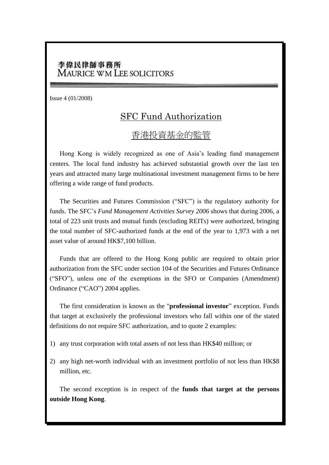## 李偉民律師事務所 **MAURICE WM LEE SOLICITORS**

Issue 4 (01/2008)

## SFC Fund Authorization

## 香港投資基金的監管

Hong Kong is widely recognized as one of Asia's leading fund management centers. The local fund industry has achieved substantial growth over the last ten years and attracted many large multinational investment management firms to be here offering a wide range of fund products.

The Securities and Futures Commission ("SFC") is the regulatory authority for funds. The SFC's *Fund Management Activities Survey 2006* shows that during 2006, a total of 223 unit trusts and mutual funds (excluding REITs) were authorized, bringing the total number of SFC-authorized funds at the end of the year to 1,973 with a net asset value of around HK\$7,100 billion.

Funds that are offered to the Hong Kong public are required to obtain prior authorization from the SFC under section 104 of the Securities and Futures Ordinance ("SFO"), unless one of the exemptions in the SFO or Companies (Amendment) Ordinance ("CAO") 2004 applies.

The first consideration is known as the "**professional investor**" exception. Funds that target at exclusively the professional investors who fall within one of the stated definitions do not require SFC authorization, and to quote 2 examples:

- 1) any trust corporation with total assets of not less than HK\$40 million; or
- 2) any high net-worth individual with an investment portfolio of not less than HK\$8 million, etc.

The second exception is in respect of the **funds that target at the persons outside Hong Kong**.